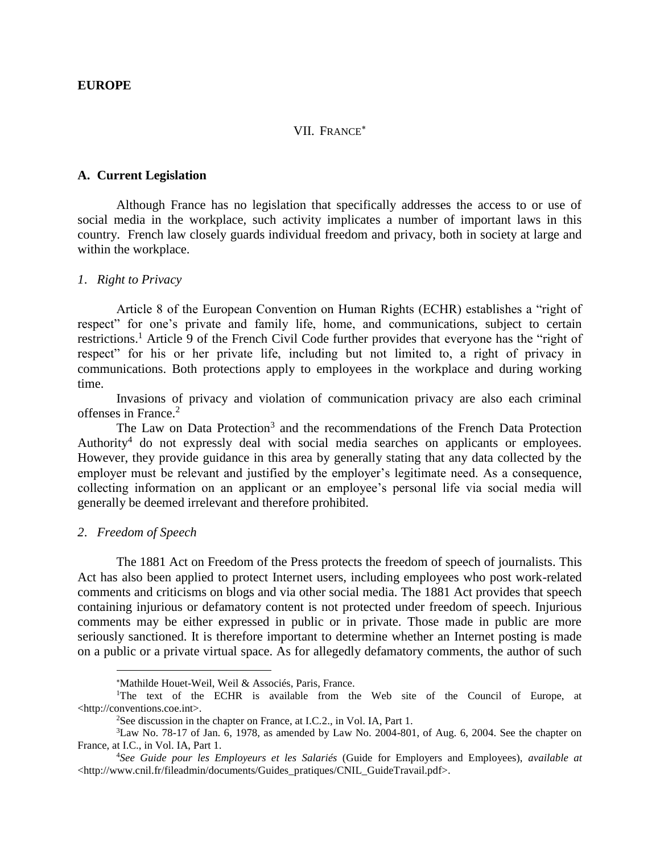#### VII. FRANCE<sup>\*</sup>

#### **A. Current Legislation**

Although France has no legislation that specifically addresses the access to or use of social media in the workplace, such activity implicates a number of important laws in this country. French law closely guards individual freedom and privacy, both in society at large and within the workplace.

### *1*. *Right to Privacy*

Article 8 of the European Convention on Human Rights (ECHR) establishes a "right of respect" for one's private and family life, home, and communications, subject to certain restrictions.<sup>1</sup> Article 9 of the French Civil Code further provides that everyone has the "right of respect" for his or her private life, including but not limited to, a right of privacy in communications. Both protections apply to employees in the workplace and during working time.

Invasions of privacy and violation of communication privacy are also each criminal offenses in France.<sup>2</sup>

The Law on Data Protection<sup>3</sup> and the recommendations of the French Data Protection Authority<sup>4</sup> do not expressly deal with social media searches on applicants or employees. However, they provide guidance in this area by generally stating that any data collected by the employer must be relevant and justified by the employer's legitimate need. As a consequence, collecting information on an applicant or an employee's personal life via social media will generally be deemed irrelevant and therefore prohibited.

#### *2*. *Freedom of Speech*

 $\overline{a}$ 

The 1881 Act on Freedom of the Press protects the freedom of speech of journalists. This Act has also been applied to protect Internet users, including employees who post work-related comments and criticisms on blogs and via other social media. The 1881 Act provides that speech containing injurious or defamatory content is not protected under freedom of speech. Injurious comments may be either expressed in public or in private. Those made in public are more seriously sanctioned. It is therefore important to determine whether an Internet posting is made on a public or a private virtual space. As for allegedly defamatory comments, the author of such

Mathilde Houet-Weil, Weil & Associés, Paris, France.

<sup>&</sup>lt;sup>1</sup>The text of the ECHR is available from the Web site of the Council of Europe, at <http://conventions.coe.int>.

<sup>&</sup>lt;sup>2</sup>See discussion in the chapter on France, at I.C.2., in Vol. IA, Part 1.

 $3$ Law No. 78-17 of Jan. 6, 1978, as amended by Law No. 2004-801, of Aug. 6, 2004. See the chapter on France, at I.C., in Vol. IA, Part 1.

<sup>4</sup>*See Guide pour les Employeurs et les Salariés* (Guide for Employers and Employees), *available at*  <http://www.cnil.fr/fileadmin/documents/Guides\_pratiques/CNIL\_GuideTravail.pdf>.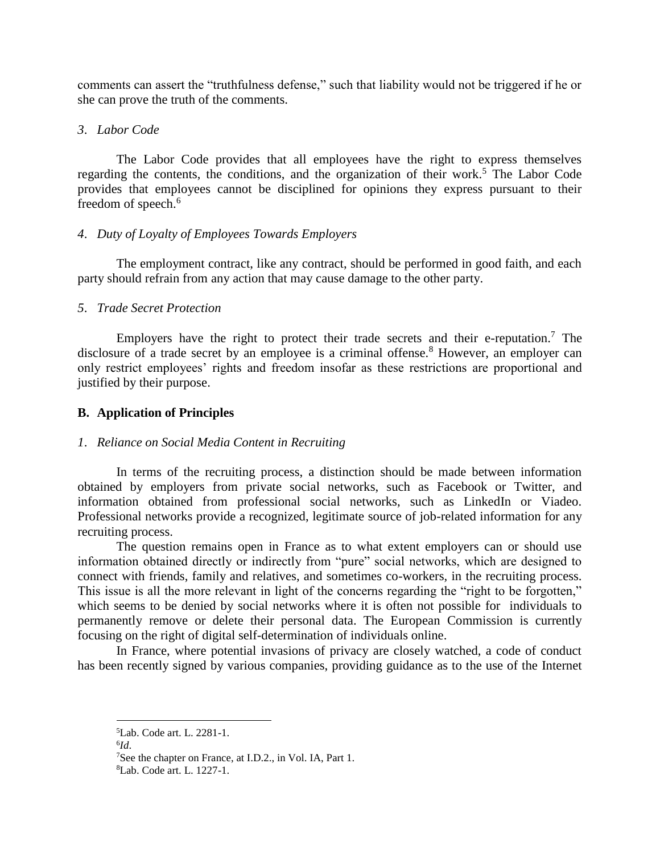comments can assert the "truthfulness defense," such that liability would not be triggered if he or she can prove the truth of the comments.

## *3*. *Labor Code*

The Labor Code provides that all employees have the right to express themselves regarding the contents, the conditions, and the organization of their work.<sup>5</sup> The Labor Code provides that employees cannot be disciplined for opinions they express pursuant to their freedom of speech.<sup>6</sup>

## *4*. *Duty of Loyalty of Employees Towards Employers*

The employment contract, like any contract, should be performed in good faith, and each party should refrain from any action that may cause damage to the other party.

# *5*. *Trade Secret Protection*

Employers have the right to protect their trade secrets and their e-reputation.<sup>7</sup> The disclosure of a trade secret by an employee is a criminal offense.<sup>8</sup> However, an employer can only restrict employees' rights and freedom insofar as these restrictions are proportional and justified by their purpose.

# **B. Application of Principles**

# *1*. *Reliance on Social Media Content in Recruiting*

In terms of the recruiting process, a distinction should be made between information obtained by employers from private social networks, such as Facebook or Twitter, and information obtained from professional social networks, such as LinkedIn or Viadeo. Professional networks provide a recognized, legitimate source of job-related information for any recruiting process.

The question remains open in France as to what extent employers can or should use information obtained directly or indirectly from "pure" social networks, which are designed to connect with friends, family and relatives, and sometimes co-workers, in the recruiting process. This issue is all the more relevant in light of the concerns regarding the "right to be forgotten," which seems to be denied by social networks where it is often not possible for individuals to permanently remove or delete their personal data. The European Commission is currently focusing on the right of digital self-determination of individuals online.

In France, where potential invasions of privacy are closely watched, a code of conduct has been recently signed by various companies, providing guidance as to the use of the Internet

6 *Id*.

<sup>5</sup>Lab. Code art. L. 2281-1.

<sup>&</sup>lt;sup>7</sup>See the chapter on France, at I.D.2., in Vol. IA, Part 1.

<sup>8</sup>Lab. Code art. L. 1227-1.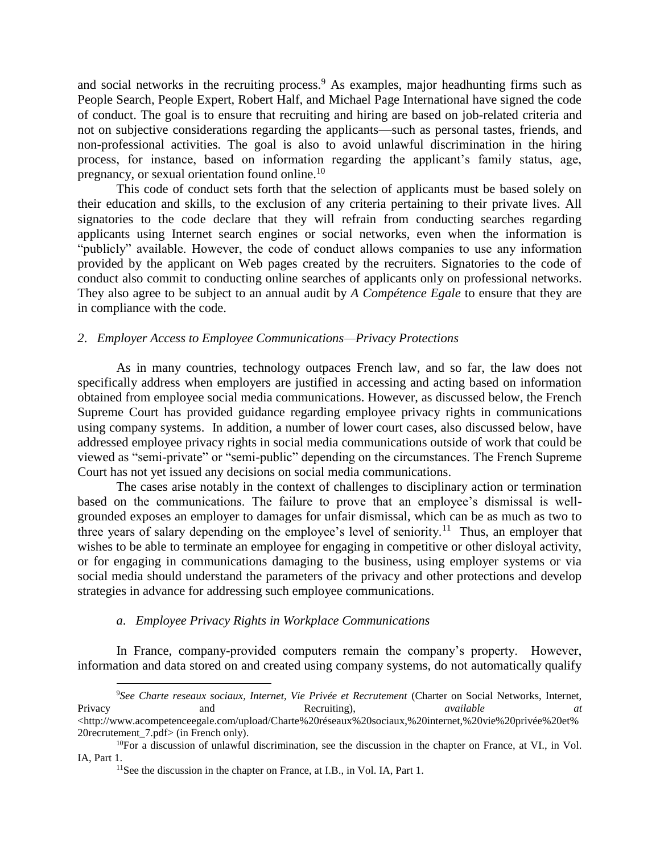and social networks in the recruiting process.<sup>9</sup> As examples, major headhunting firms such as People Search, People Expert, Robert Half, and Michael Page International have signed the code of conduct. The goal is to ensure that recruiting and hiring are based on job-related criteria and not on subjective considerations regarding the applicants—such as personal tastes, friends, and non-professional activities. The goal is also to avoid unlawful discrimination in the hiring process, for instance, based on information regarding the applicant's family status, age, pregnancy, or sexual orientation found online.<sup>10</sup>

This code of conduct sets forth that the selection of applicants must be based solely on their education and skills, to the exclusion of any criteria pertaining to their private lives. All signatories to the code declare that they will refrain from conducting searches regarding applicants using Internet search engines or social networks, even when the information is "publicly" available. However, the code of conduct allows companies to use any information provided by the applicant on Web pages created by the recruiters. Signatories to the code of conduct also commit to conducting online searches of applicants only on professional networks. They also agree to be subject to an annual audit by *A Compétence Egale* to ensure that they are in compliance with the code.

### *2*. *Employer Access to Employee Communications—Privacy Protections*

As in many countries, technology outpaces French law, and so far, the law does not specifically address when employers are justified in accessing and acting based on information obtained from employee social media communications. However, as discussed below, the French Supreme Court has provided guidance regarding employee privacy rights in communications using company systems. In addition, a number of lower court cases, also discussed below, have addressed employee privacy rights in social media communications outside of work that could be viewed as "semi-private" or "semi-public" depending on the circumstances. The French Supreme Court has not yet issued any decisions on social media communications.

The cases arise notably in the context of challenges to disciplinary action or termination based on the communications. The failure to prove that an employee's dismissal is wellgrounded exposes an employer to damages for unfair dismissal, which can be as much as two to three years of salary depending on the employee's level of seniority.<sup>11</sup> Thus, an employer that wishes to be able to terminate an employee for engaging in competitive or other disloyal activity. or for engaging in communications damaging to the business, using employer systems or via social media should understand the parameters of the privacy and other protections and develop strategies in advance for addressing such employee communications.

### *a*. *Employee Privacy Rights in Workplace Communications*

 $\overline{a}$ 

In France, company-provided computers remain the company's property. However, information and data stored on and created using company systems, do not automatically qualify

<sup>9</sup>*See Charte reseaux sociaux, Internet, Vie Privée et Recrutement* (Charter on Social Networks, Internet, Privacy and Recruiting), *available at*  <http://www.acompetenceegale.com/upload/Charte%20réseaux%20sociaux,%20internet,%20vie%20privée%20et% 20recrutement 7.pdf> (in French only).

 $10$ For a discussion of unlawful discrimination, see the discussion in the chapter on France, at VI., in Vol. IA, Part 1.

<sup>&</sup>lt;sup>11</sup>See the discussion in the chapter on France, at I.B., in Vol. IA, Part 1.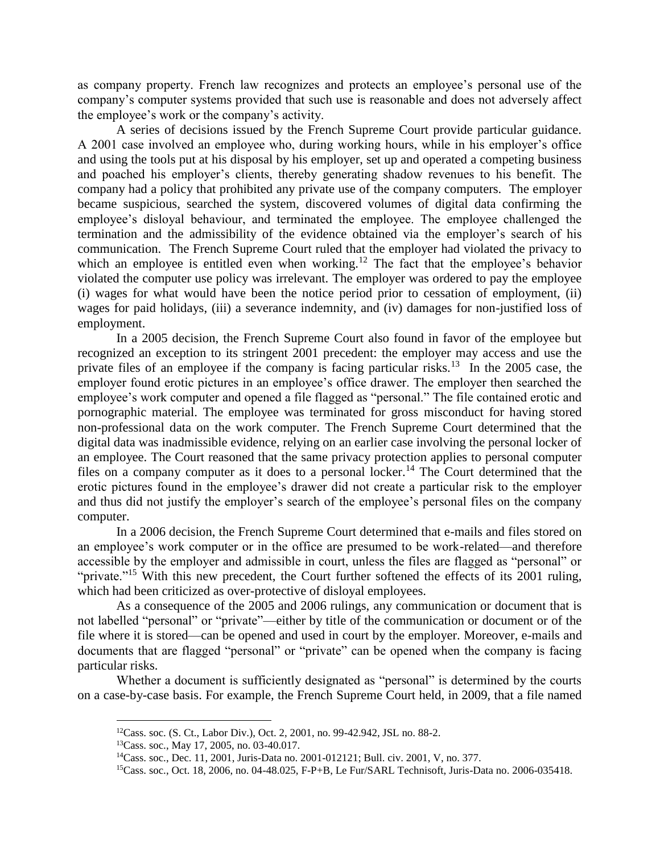as company property. French law recognizes and protects an employee's personal use of the company's computer systems provided that such use is reasonable and does not adversely affect the employee's work or the company's activity.

A series of decisions issued by the French Supreme Court provide particular guidance. A 2001 case involved an employee who, during working hours, while in his employer's office and using the tools put at his disposal by his employer, set up and operated a competing business and poached his employer's clients, thereby generating shadow revenues to his benefit. The company had a policy that prohibited any private use of the company computers. The employer became suspicious, searched the system, discovered volumes of digital data confirming the employee's disloyal behaviour, and terminated the employee. The employee challenged the termination and the admissibility of the evidence obtained via the employer's search of his communication. The French Supreme Court ruled that the employer had violated the privacy to which an employee is entitled even when working.<sup>12</sup> The fact that the employee's behavior violated the computer use policy was irrelevant. The employer was ordered to pay the employee (i) wages for what would have been the notice period prior to cessation of employment, (ii) wages for paid holidays, (iii) a severance indemnity, and (iv) damages for non-justified loss of employment.

In a 2005 decision, the French Supreme Court also found in favor of the employee but recognized an exception to its stringent 2001 precedent: the employer may access and use the private files of an employee if the company is facing particular risks.<sup>13</sup> In the 2005 case, the employer found erotic pictures in an employee's office drawer. The employer then searched the employee's work computer and opened a file flagged as "personal." The file contained erotic and pornographic material. The employee was terminated for gross misconduct for having stored non-professional data on the work computer. The French Supreme Court determined that the digital data was inadmissible evidence, relying on an earlier case involving the personal locker of an employee. The Court reasoned that the same privacy protection applies to personal computer files on a company computer as it does to a personal locker.<sup>14</sup> The Court determined that the erotic pictures found in the employee's drawer did not create a particular risk to the employer and thus did not justify the employer's search of the employee's personal files on the company computer.

In a 2006 decision, the French Supreme Court determined that e-mails and files stored on an employee's work computer or in the office are presumed to be work-related—and therefore accessible by the employer and admissible in court, unless the files are flagged as "personal" or "private."<sup>15</sup> With this new precedent, the Court further softened the effects of its 2001 ruling, which had been criticized as over-protective of disloyal employees.

As a consequence of the 2005 and 2006 rulings, any communication or document that is not labelled "personal" or "private"—either by title of the communication or document or of the file where it is stored—can be opened and used in court by the employer. Moreover, e-mails and documents that are flagged "personal" or "private" can be opened when the company is facing particular risks.

Whether a document is sufficiently designated as "personal" is determined by the courts on a case-by-case basis. For example, the French Supreme Court held, in 2009, that a file named

<sup>12</sup>Cass. soc. (S. Ct., Labor Div.), Oct. 2, 2001, no. 99-42.942, JSL no. 88-2.

<sup>13</sup>Cass. soc., May 17, 2005, no. 03-40.017.

<sup>14</sup>Cass. soc., Dec. 11, 2001, Juris-Data no. 2001-012121; Bull. civ. 2001, V, no. 377.

<sup>15</sup>Cass. soc., Oct. 18, 2006, no. 04-48.025, F-P+B, Le Fur/SARL Technisoft, Juris-Data no. 2006-035418.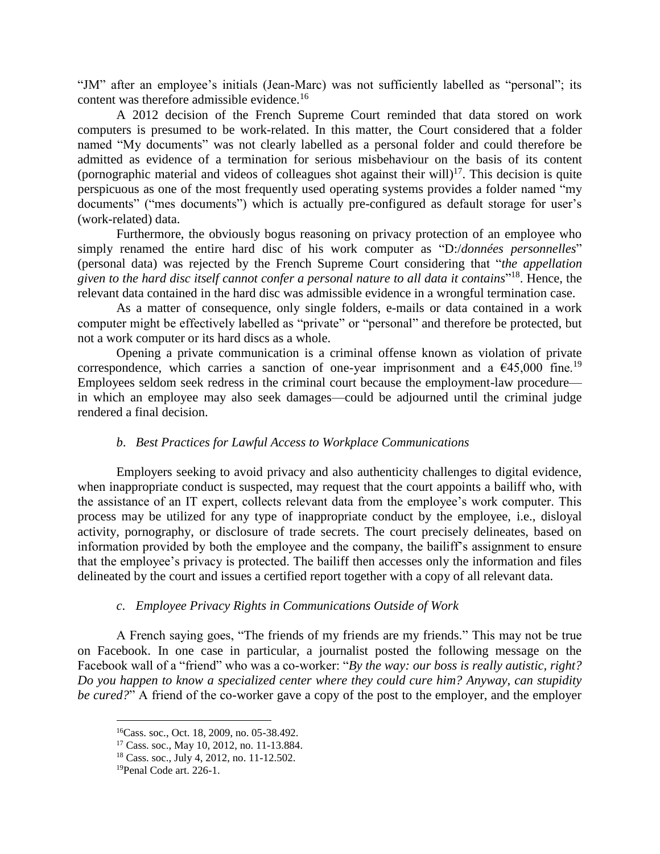"JM" after an employee's initials (Jean-Marc) was not sufficiently labelled as "personal"; its content was therefore admissible evidence.<sup>16</sup>

A 2012 decision of the French Supreme Court reminded that data stored on work computers is presumed to be work-related. In this matter, the Court considered that a folder named "My documents" was not clearly labelled as a personal folder and could therefore be admitted as evidence of a termination for serious misbehaviour on the basis of its content (pornographic material and videos of colleagues shot against their will)<sup>17</sup>. This decision is quite perspicuous as one of the most frequently used operating systems provides a folder named "my documents" ("mes documents") which is actually pre-configured as default storage for user's (work-related) data.

Furthermore, the obviously bogus reasoning on privacy protection of an employee who simply renamed the entire hard disc of his work computer as "D:/*données personnelles*" (personal data) was rejected by the French Supreme Court considering that "*the appellation given to the hard disc itself cannot confer a personal nature to all data it contains*" 18 . Hence, the relevant data contained in the hard disc was admissible evidence in a wrongful termination case.

As a matter of consequence, only single folders, e-mails or data contained in a work computer might be effectively labelled as "private" or "personal" and therefore be protected, but not a work computer or its hard discs as a whole.

Opening a private communication is a criminal offense known as violation of private correspondence, which carries a sanction of one-year imprisonment and a  $\epsilon$ 45,000 fine.<sup>19</sup> Employees seldom seek redress in the criminal court because the employment-law procedure in which an employee may also seek damages—could be adjourned until the criminal judge rendered a final decision.

## *b*. *Best Practices for Lawful Access to Workplace Communications*

Employers seeking to avoid privacy and also authenticity challenges to digital evidence, when inappropriate conduct is suspected, may request that the court appoints a bailiff who, with the assistance of an IT expert, collects relevant data from the employee's work computer. This process may be utilized for any type of inappropriate conduct by the employee, i.e., disloyal activity, pornography, or disclosure of trade secrets. The court precisely delineates, based on information provided by both the employee and the company, the bailiff's assignment to ensure that the employee's privacy is protected. The bailiff then accesses only the information and files delineated by the court and issues a certified report together with a copy of all relevant data.

## *c*. *Employee Privacy Rights in Communications Outside of Work*

A French saying goes, "The friends of my friends are my friends." This may not be true on Facebook. In one case in particular, a journalist posted the following message on the Facebook wall of a "friend" who was a co-worker: "*By the way: our boss is really autistic, right? Do you happen to know a specialized center where they could cure him? Anyway, can stupidity be cured?*" A friend of the co-worker gave a copy of the post to the employer, and the employer

<sup>16</sup>Cass. soc., Oct. 18, 2009, no. 05-38.492.

<sup>17</sup> Cass. soc., May 10, 2012, no. 11-13.884.

<sup>18</sup> Cass. soc., July 4, 2012, no. 11-12.502.

<sup>19</sup>Penal Code art. 226-1.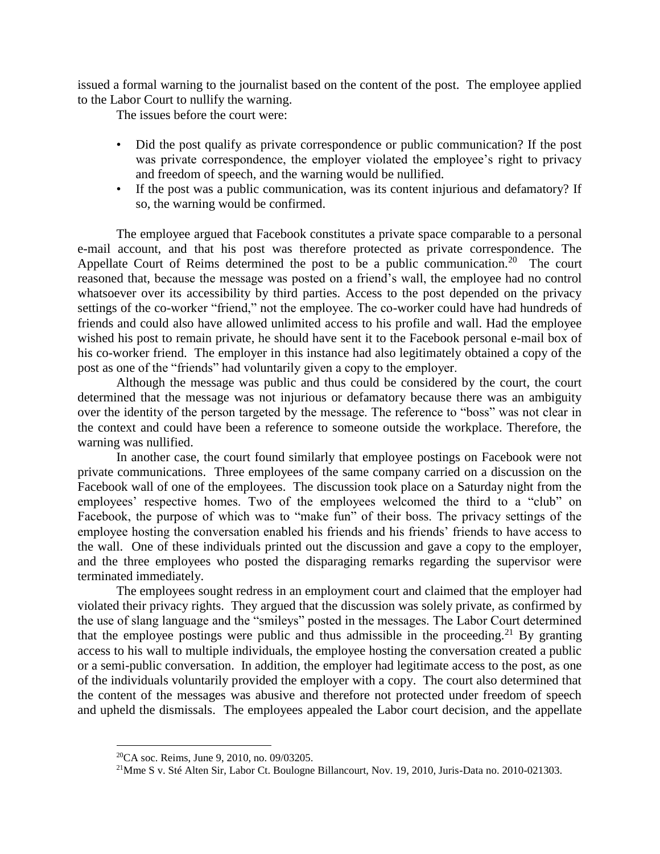issued a formal warning to the journalist based on the content of the post. The employee applied to the Labor Court to nullify the warning.

The issues before the court were:

- Did the post qualify as private correspondence or public communication? If the post was private correspondence, the employer violated the employee's right to privacy and freedom of speech, and the warning would be nullified.
- If the post was a public communication, was its content injurious and defamatory? If so, the warning would be confirmed.

The employee argued that Facebook constitutes a private space comparable to a personal e-mail account, and that his post was therefore protected as private correspondence. The Appellate Court of Reims determined the post to be a public communication.<sup>20</sup> The court reasoned that, because the message was posted on a friend's wall, the employee had no control whatsoever over its accessibility by third parties. Access to the post depended on the privacy settings of the co-worker "friend," not the employee. The co-worker could have had hundreds of friends and could also have allowed unlimited access to his profile and wall. Had the employee wished his post to remain private, he should have sent it to the Facebook personal e-mail box of his co-worker friend. The employer in this instance had also legitimately obtained a copy of the post as one of the "friends" had voluntarily given a copy to the employer.

Although the message was public and thus could be considered by the court, the court determined that the message was not injurious or defamatory because there was an ambiguity over the identity of the person targeted by the message. The reference to "boss" was not clear in the context and could have been a reference to someone outside the workplace. Therefore, the warning was nullified.

In another case, the court found similarly that employee postings on Facebook were not private communications. Three employees of the same company carried on a discussion on the Facebook wall of one of the employees. The discussion took place on a Saturday night from the employees' respective homes. Two of the employees welcomed the third to a "club" on Facebook, the purpose of which was to "make fun" of their boss. The privacy settings of the employee hosting the conversation enabled his friends and his friends' friends to have access to the wall. One of these individuals printed out the discussion and gave a copy to the employer, and the three employees who posted the disparaging remarks regarding the supervisor were terminated immediately.

The employees sought redress in an employment court and claimed that the employer had violated their privacy rights. They argued that the discussion was solely private, as confirmed by the use of slang language and the "smileys" posted in the messages. The Labor Court determined that the employee postings were public and thus admissible in the proceeding.<sup>21</sup> By granting access to his wall to multiple individuals, the employee hosting the conversation created a public or a semi-public conversation. In addition, the employer had legitimate access to the post, as one of the individuals voluntarily provided the employer with a copy. The court also determined that the content of the messages was abusive and therefore not protected under freedom of speech and upheld the dismissals. The employees appealed the Labor court decision, and the appellate

<sup>20</sup>CA soc. Reims, June 9, 2010, no. 09/03205.

<sup>&</sup>lt;sup>21</sup>Mme S v. Sté Alten Sir, Labor Ct. Boulogne Billancourt, Nov. 19, 2010, Juris-Data no. 2010-021303.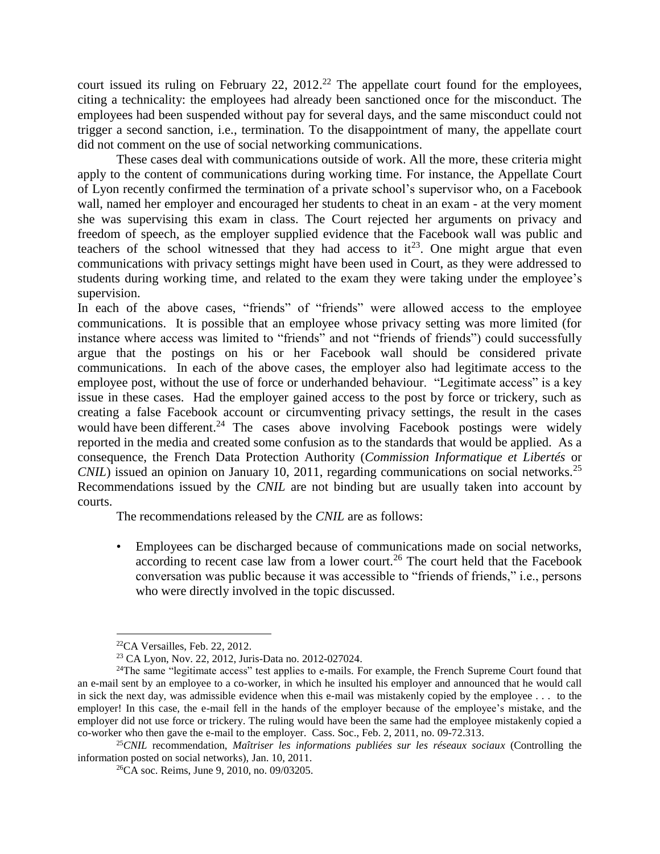court issued its ruling on February 22,  $2012<sup>22</sup>$  The appellate court found for the employees, citing a technicality: the employees had already been sanctioned once for the misconduct. The employees had been suspended without pay for several days, and the same misconduct could not trigger a second sanction, i.e., termination. To the disappointment of many, the appellate court did not comment on the use of social networking communications.

These cases deal with communications outside of work. All the more, these criteria might apply to the content of communications during working time. For instance, the Appellate Court of Lyon recently confirmed the termination of a private school's supervisor who, on a Facebook wall, named her employer and encouraged her students to cheat in an exam - at the very moment she was supervising this exam in class. The Court rejected her arguments on privacy and freedom of speech, as the employer supplied evidence that the Facebook wall was public and teachers of the school witnessed that they had access to  $it^{23}$ . One might argue that even communications with privacy settings might have been used in Court, as they were addressed to students during working time, and related to the exam they were taking under the employee's supervision.

In each of the above cases, "friends" of "friends" were allowed access to the employee communications. It is possible that an employee whose privacy setting was more limited (for instance where access was limited to "friends" and not "friends of friends") could successfully argue that the postings on his or her Facebook wall should be considered private communications. In each of the above cases, the employer also had legitimate access to the employee post, without the use of force or underhanded behaviour. "Legitimate access" is a key issue in these cases. Had the employer gained access to the post by force or trickery, such as creating a false Facebook account or circumventing privacy settings, the result in the cases would have been different.<sup>24</sup> The cases above involving Facebook postings were widely reported in the media and created some confusion as to the standards that would be applied. As a consequence, the French Data Protection Authority (*Commission Informatique et Libertés* or *CNIL*) issued an opinion on January 10, 2011, regarding communications on social networks.<sup>25</sup> Recommendations issued by the *CNIL* are not binding but are usually taken into account by courts.

The recommendations released by the *CNIL* are as follows:

• Employees can be discharged because of communications made on social networks, according to recent case law from a lower court.<sup>26</sup> The court held that the Facebook conversation was public because it was accessible to "friends of friends," i.e., persons who were directly involved in the topic discussed.

 $\overline{a}$ <sup>22</sup>CA Versailles, Feb. 22, 2012.

<sup>23</sup> CA Lyon, Nov. 22, 2012, Juris-Data no. 2012-027024.

<sup>&</sup>lt;sup>24</sup>The same "legitimate access" test applies to e-mails. For example, the French Supreme Court found that an e-mail sent by an employee to a co-worker, in which he insulted his employer and announced that he would call in sick the next day, was admissible evidence when this e-mail was mistakenly copied by the employee . . . to the employer! In this case, the e-mail fell in the hands of the employer because of the employee's mistake, and the employer did not use force or trickery. The ruling would have been the same had the employee mistakenly copied a co-worker who then gave the e-mail to the employer. Cass. Soc., Feb. 2, 2011, no. 09-72.313.

<sup>25</sup>*CNIL* recommendation, *Maîtriser les informations publiées sur les réseaux sociaux* (Controlling the information posted on social networks), Jan. 10, 2011.

<sup>26</sup>CA soc. Reims, June 9, 2010, no. 09/03205.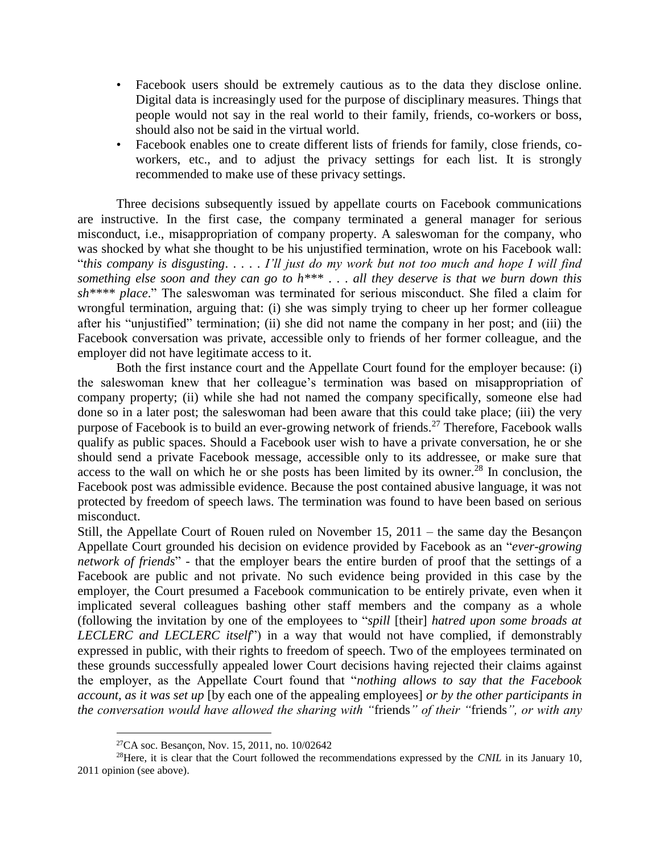- Facebook users should be extremely cautious as to the data they disclose online. Digital data is increasingly used for the purpose of disciplinary measures. Things that people would not say in the real world to their family, friends, co-workers or boss, should also not be said in the virtual world.
- Facebook enables one to create different lists of friends for family, close friends, coworkers, etc., and to adjust the privacy settings for each list. It is strongly recommended to make use of these privacy settings.

Three decisions subsequently issued by appellate courts on Facebook communications are instructive. In the first case, the company terminated a general manager for serious misconduct, i.e., misappropriation of company property. A saleswoman for the company, who was shocked by what she thought to be his unjustified termination, wrote on his Facebook wall: "*this company is disgusting*. . . . . *I'll just do my work but not too much and hope I will find something else soon and they can go to h\*\*\** . . . *all they deserve is that we burn down this sh\*\*\*\* place*." The saleswoman was terminated for serious misconduct. She filed a claim for wrongful termination, arguing that: (i) she was simply trying to cheer up her former colleague after his "unjustified" termination; (ii) she did not name the company in her post; and (iii) the Facebook conversation was private, accessible only to friends of her former colleague, and the employer did not have legitimate access to it.

Both the first instance court and the Appellate Court found for the employer because: (i) the saleswoman knew that her colleague's termination was based on misappropriation of company property; (ii) while she had not named the company specifically, someone else had done so in a later post; the saleswoman had been aware that this could take place; (iii) the very purpose of Facebook is to build an ever-growing network of friends.<sup>27</sup> Therefore, Facebook walls qualify as public spaces. Should a Facebook user wish to have a private conversation, he or she should send a private Facebook message, accessible only to its addressee, or make sure that access to the wall on which he or she posts has been limited by its owner.<sup>28</sup> In conclusion, the Facebook post was admissible evidence. Because the post contained abusive language, it was not protected by freedom of speech laws. The termination was found to have been based on serious misconduct.

Still, the Appellate Court of Rouen ruled on November 15, 2011 – the same day the Besançon Appellate Court grounded his decision on evidence provided by Facebook as an "*ever-growing network of friends*" - that the employer bears the entire burden of proof that the settings of a Facebook are public and not private. No such evidence being provided in this case by the employer, the Court presumed a Facebook communication to be entirely private, even when it implicated several colleagues bashing other staff members and the company as a whole (following the invitation by one of the employees to "*spill* [their] *hatred upon some broads at LECLERC and LECLERC itself*") in a way that would not have complied, if demonstrably expressed in public, with their rights to freedom of speech. Two of the employees terminated on these grounds successfully appealed lower Court decisions having rejected their claims against the employer, as the Appellate Court found that "*nothing allows to say that the Facebook account, as it was set up* [by each one of the appealing employees] *or by the other participants in the conversation would have allowed the sharing with "*friends*" of their "*friends*", or with any* 

<sup>27</sup>CA soc. Besançon, Nov. 15, 2011, no. 10/02642

<sup>28</sup>Here, it is clear that the Court followed the recommendations expressed by the *CNIL* in its January 10, 2011 opinion (see above).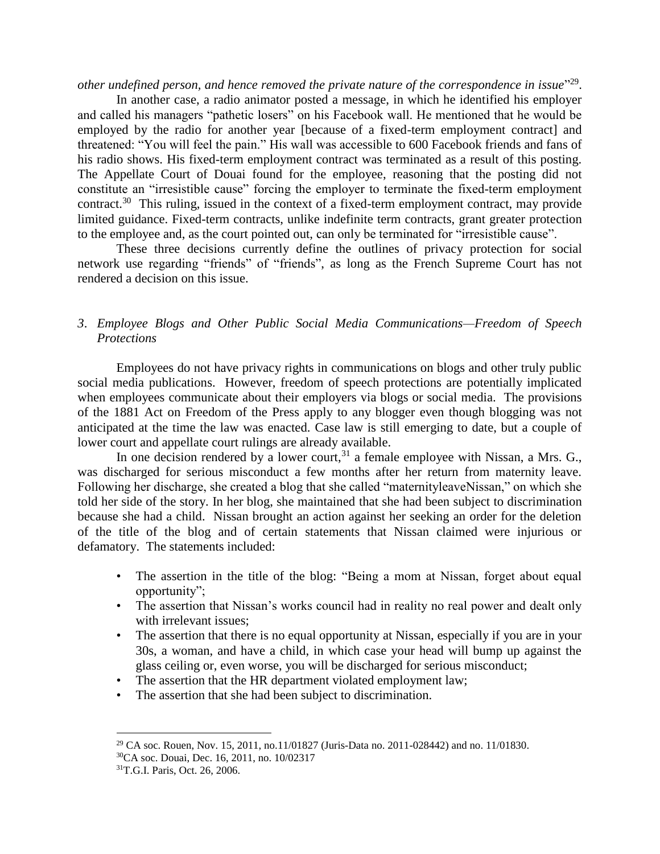other undefined person, and hence removed the private nature of the correspondence in issue<sup>"29</sup>.

In another case, a radio animator posted a message, in which he identified his employer and called his managers "pathetic losers" on his Facebook wall. He mentioned that he would be employed by the radio for another year [because of a fixed-term employment contract] and threatened: "You will feel the pain." His wall was accessible to 600 Facebook friends and fans of his radio shows. His fixed-term employment contract was terminated as a result of this posting. The Appellate Court of Douai found for the employee, reasoning that the posting did not constitute an "irresistible cause" forcing the employer to terminate the fixed-term employment contract.<sup>30</sup> This ruling, issued in the context of a fixed-term employment contract, may provide limited guidance. Fixed-term contracts, unlike indefinite term contracts, grant greater protection to the employee and, as the court pointed out, can only be terminated for "irresistible cause".

These three decisions currently define the outlines of privacy protection for social network use regarding "friends" of "friends", as long as the French Supreme Court has not rendered a decision on this issue.

## *3*. *Employee Blogs and Other Public Social Media Communications—Freedom of Speech Protections*

Employees do not have privacy rights in communications on blogs and other truly public social media publications. However, freedom of speech protections are potentially implicated when employees communicate about their employers via blogs or social media. The provisions of the 1881 Act on Freedom of the Press apply to any blogger even though blogging was not anticipated at the time the law was enacted. Case law is still emerging to date, but a couple of lower court and appellate court rulings are already available.

In one decision rendered by a lower court,  $31$  a female employee with Nissan, a Mrs. G., was discharged for serious misconduct a few months after her return from maternity leave. Following her discharge, she created a blog that she called "maternityleaveNissan," on which she told her side of the story. In her blog, she maintained that she had been subject to discrimination because she had a child. Nissan brought an action against her seeking an order for the deletion of the title of the blog and of certain statements that Nissan claimed were injurious or defamatory. The statements included:

- The assertion in the title of the blog: "Being a mom at Nissan, forget about equal opportunity";
- The assertion that Nissan's works council had in reality no real power and dealt only with irrelevant issues;
- The assertion that there is no equal opportunity at Nissan, especially if you are in your 30s, a woman, and have a child, in which case your head will bump up against the glass ceiling or, even worse, you will be discharged for serious misconduct;
- The assertion that the HR department violated employment law;
- The assertion that she had been subject to discrimination.

 $\overline{a}$ <sup>29</sup> CA soc. Rouen, Nov. 15, 2011, no.11/01827 (Juris-Data no. 2011-028442) and no. 11/01830. <sup>30</sup>CA soc. Douai, Dec. 16, 2011, no. 10/02317

<sup>31</sup>T.G.I. Paris, Oct. 26, 2006.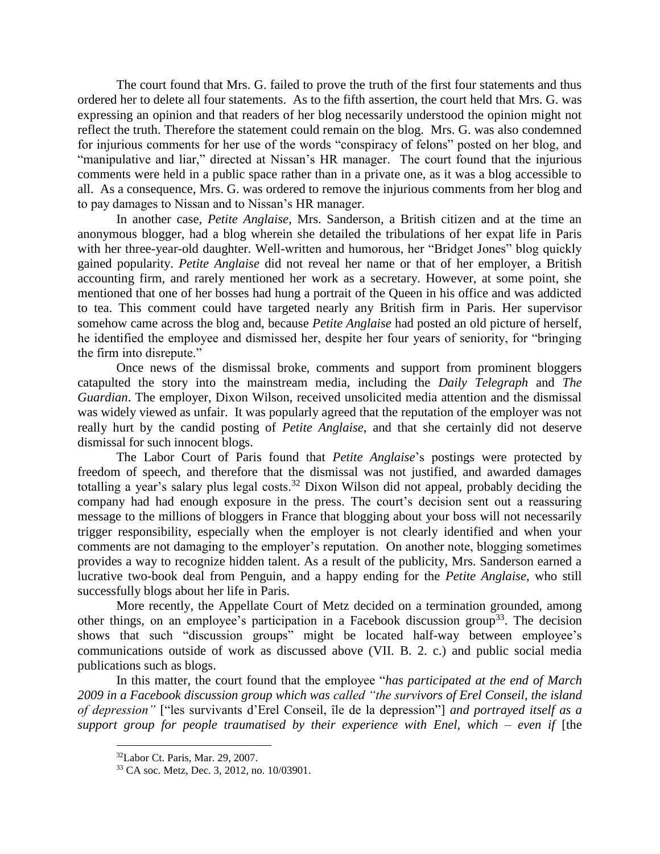The court found that Mrs. G. failed to prove the truth of the first four statements and thus ordered her to delete all four statements. As to the fifth assertion, the court held that Mrs. G. was expressing an opinion and that readers of her blog necessarily understood the opinion might not reflect the truth. Therefore the statement could remain on the blog. Mrs. G. was also condemned for injurious comments for her use of the words "conspiracy of felons" posted on her blog, and "manipulative and liar," directed at Nissan's HR manager. The court found that the injurious comments were held in a public space rather than in a private one, as it was a blog accessible to all. As a consequence, Mrs. G. was ordered to remove the injurious comments from her blog and to pay damages to Nissan and to Nissan's HR manager.

In another case, *Petite Anglaise*, Mrs. Sanderson, a British citizen and at the time an anonymous blogger, had a blog wherein she detailed the tribulations of her expat life in Paris with her three-year-old daughter. Well-written and humorous, her "Bridget Jones" blog quickly gained popularity. *Petite Anglaise* did not reveal her name or that of her employer, a British accounting firm, and rarely mentioned her work as a secretary. However, at some point, she mentioned that one of her bosses had hung a portrait of the Queen in his office and was addicted to tea. This comment could have targeted nearly any British firm in Paris. Her supervisor somehow came across the blog and, because *Petite Anglaise* had posted an old picture of herself, he identified the employee and dismissed her, despite her four years of seniority, for "bringing the firm into disrepute."

Once news of the dismissal broke, comments and support from prominent bloggers catapulted the story into the mainstream media, including the *Daily Telegraph* and *The Guardian*. The employer, Dixon Wilson, received unsolicited media attention and the dismissal was widely viewed as unfair. It was popularly agreed that the reputation of the employer was not really hurt by the candid posting of *Petite Anglaise*, and that she certainly did not deserve dismissal for such innocent blogs.

The Labor Court of Paris found that *Petite Anglaise*'s postings were protected by freedom of speech, and therefore that the dismissal was not justified, and awarded damages totalling a year's salary plus legal costs.<sup>32</sup> Dixon Wilson did not appeal, probably deciding the company had had enough exposure in the press. The court's decision sent out a reassuring message to the millions of bloggers in France that blogging about your boss will not necessarily trigger responsibility, especially when the employer is not clearly identified and when your comments are not damaging to the employer's reputation. On another note, blogging sometimes provides a way to recognize hidden talent. As a result of the publicity, Mrs. Sanderson earned a lucrative two-book deal from Penguin, and a happy ending for the *Petite Anglaise*, who still successfully blogs about her life in Paris.

More recently, the Appellate Court of Metz decided on a termination grounded, among other things, on an employee's participation in a Facebook discussion group<sup>33</sup>. The decision shows that such "discussion groups" might be located half-way between employee's communications outside of work as discussed above (VII. B. 2. c.) and public social media publications such as blogs.

In this matter, the court found that the employee "*has participated at the end of March 2009 in a Facebook discussion group which was called "the survivors of Erel Conseil, the island of depression"* ["les survivants d'Erel Conseil, île de la depression"] *and portrayed itself as a support group for people traumatised by their experience with Enel, which – even if* [the

<sup>32</sup>Labor Ct. Paris, Mar. 29, 2007.

<sup>33</sup> CA soc. Metz, Dec. 3, 2012, no. 10/03901.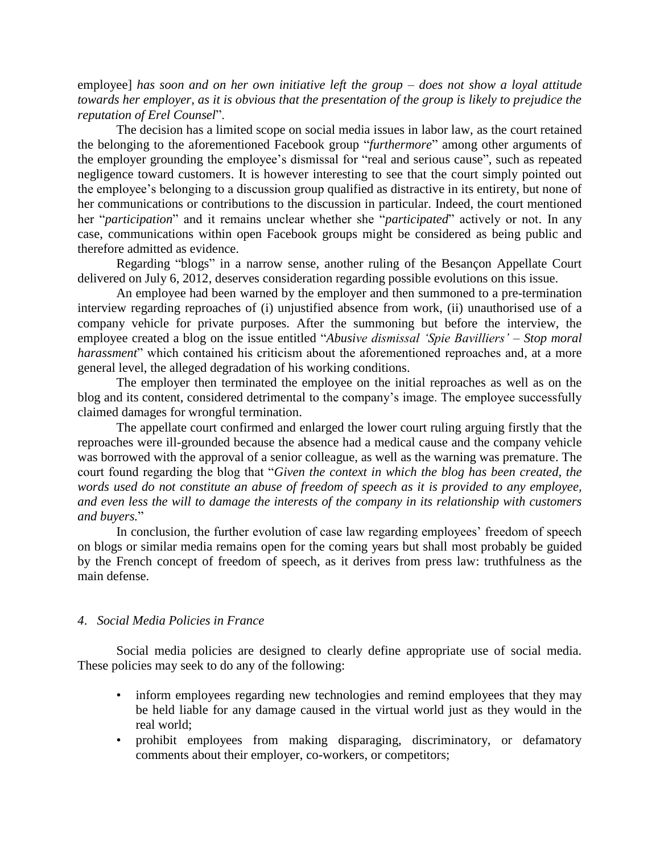employee] *has soon and on her own initiative left the group – does not show a loyal attitude towards her employer, as it is obvious that the presentation of the group is likely to prejudice the reputation of Erel Counsel*".

The decision has a limited scope on social media issues in labor law, as the court retained the belonging to the aforementioned Facebook group "*furthermore*" among other arguments of the employer grounding the employee's dismissal for "real and serious cause", such as repeated negligence toward customers. It is however interesting to see that the court simply pointed out the employee's belonging to a discussion group qualified as distractive in its entirety, but none of her communications or contributions to the discussion in particular. Indeed, the court mentioned her "*participation*" and it remains unclear whether she "*participated*" actively or not. In any case, communications within open Facebook groups might be considered as being public and therefore admitted as evidence.

Regarding "blogs" in a narrow sense, another ruling of the Besançon Appellate Court delivered on July 6, 2012, deserves consideration regarding possible evolutions on this issue.

An employee had been warned by the employer and then summoned to a pre-termination interview regarding reproaches of (i) unjustified absence from work, (ii) unauthorised use of a company vehicle for private purposes. After the summoning but before the interview, the employee created a blog on the issue entitled "*Abusive dismissal 'Spie Bavilliers' – Stop moral harassment*" which contained his criticism about the aforementioned reproaches and, at a more general level, the alleged degradation of his working conditions.

The employer then terminated the employee on the initial reproaches as well as on the blog and its content, considered detrimental to the company's image. The employee successfully claimed damages for wrongful termination.

The appellate court confirmed and enlarged the lower court ruling arguing firstly that the reproaches were ill-grounded because the absence had a medical cause and the company vehicle was borrowed with the approval of a senior colleague, as well as the warning was premature. The court found regarding the blog that "*Given the context in which the blog has been created, the words used do not constitute an abuse of freedom of speech as it is provided to any employee, and even less the will to damage the interests of the company in its relationship with customers and buyers.*"

In conclusion, the further evolution of case law regarding employees' freedom of speech on blogs or similar media remains open for the coming years but shall most probably be guided by the French concept of freedom of speech, as it derives from press law: truthfulness as the main defense.

### *4*. *Social Media Policies in France*

Social media policies are designed to clearly define appropriate use of social media. These policies may seek to do any of the following:

- inform employees regarding new technologies and remind employees that they may be held liable for any damage caused in the virtual world just as they would in the real world;
- prohibit employees from making disparaging, discriminatory, or defamatory comments about their employer, co-workers, or competitors;